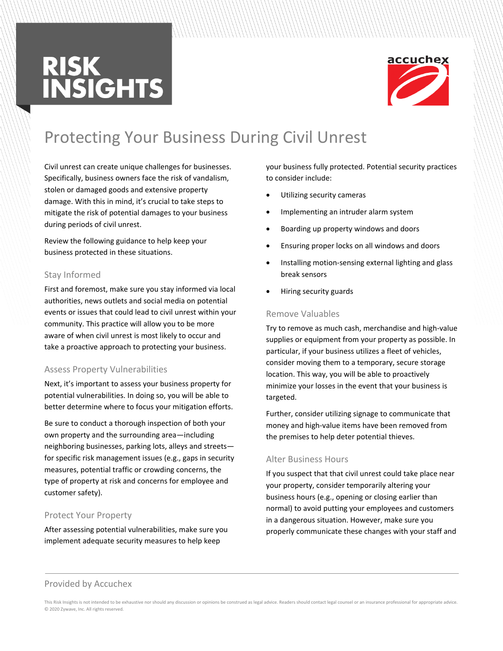# **RISK<br>INSIGHTS**



### Protecting Your Business During Civil Unrest

Civil unrest can create unique challenges for businesses. Specifically, business owners face the risk of vandalism, stolen or damaged goods and extensive property damage. With this in mind, it's crucial to take steps to mitigate the risk of potential damages to your business during periods of civil unrest.

Review the following guidance to help keep your business protected in these situations.

#### Stay Informed

First and foremost, make sure you stay informed via local authorities, news outlets and social media on potential events or issues that could lead to civil unrest within your community. This practice will allow you to be more aware of when civil unrest is most likely to occur and take a proactive approach to protecting your business.

#### Assess Property Vulnerabilities

Next, it's important to assess your business property for potential vulnerabilities. In doing so, you will be able to better determine where to focus your mitigation efforts.

Be sure to conduct a thorough inspection of both your own property and the surrounding area—including neighboring businesses, parking lots, alleys and streets for specific risk management issues (e.g., gaps in security measures, potential traffic or crowding concerns, the type of property at risk and concerns for employee and customer safety).

#### Protect Your Property

After assessing potential vulnerabilities, make sure you implement adequate security measures to help keep

your business fully protected. Potential security practices to consider include:

- Utilizing security cameras
- Implementing an intruder alarm system
- Boarding up property windows and doors
- Ensuring proper locks on all windows and doors
- Installing motion-sensing external lighting and glass break sensors
- Hiring security guards

#### Remove Valuables

Try to remove as much cash, merchandise and high-value supplies or equipment from your property as possible. In particular, if your business utilizes a fleet of vehicles, consider moving them to a temporary, secure storage location. This way, you will be able to proactively minimize your losses in the event that your business is targeted.

Further, consider utilizing signage to communicate that money and high-value items have been removed from the premises to help deter potential thieves.

#### Alter Business Hours

If you suspect that that civil unrest could take place near your property, consider temporarily altering your business hours (e.g., opening or closing earlier than normal) to avoid putting your employees and customers in a dangerous situation. However, make sure you properly communicate these changes with your staff and

#### Provided by Accuchex

This Risk Insights is not intended to be exhaustive nor should any discussion or opinions be construed as legal advice. Readers should contact legal counsel or an insurance professional for appropriate advice. © 2020 Zywave, Inc. All rights reserved.